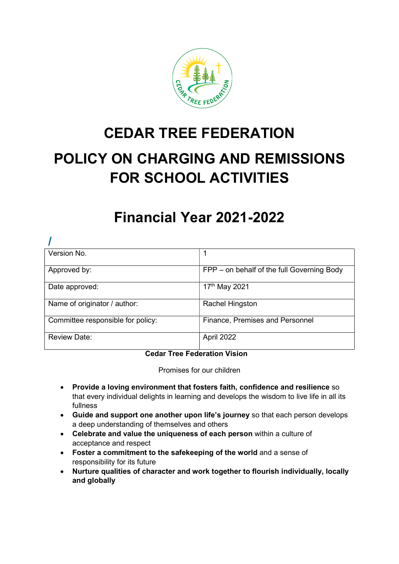

# CEDAR TREE FEDERATION

# POLICY ON CHARGING AND REMISSIONS FOR SCHOOL ACTIVITIES

# Financial Year 2021-2022

| Version No.                       |                                            |
|-----------------------------------|--------------------------------------------|
| Approved by:                      | FPP – on behalf of the full Governing Body |
| Date approved:                    | 17th May 2021                              |
| Name of originator / author:      | Rachel Hingston                            |
| Committee responsible for policy: | Finance, Premises and Personnel            |
| <b>Review Date:</b>               | April 2022                                 |

# Cedar Tree Federation Vision

Promises for our children

- Provide a loving environment that fosters faith, confidence and resilience so that every individual delights in learning and develops the wisdom to live life in all its fullness
- Guide and support one another upon life's journey so that each person develops a deep understanding of themselves and others
- Celebrate and value the uniqueness of each person within a culture of acceptance and respect
- Foster a commitment to the safekeeping of the world and a sense of responsibility for its future
- Nurture qualities of character and work together to flourish individually, locally and globally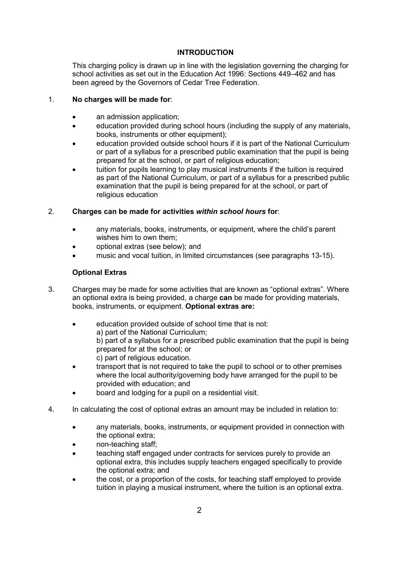# INTRODUCTION

This charging policy is drawn up in line with the legislation governing the charging for school activities as set out in the Education Act 1996: Sections 449–462 and has been agreed by the Governors of Cedar Tree Federation.

#### 1. No charges will be made for:

- an admission application;
- education provided during school hours (including the supply of any materials, books, instruments or other equipment);
- education provided outside school hours if it is part of the National Curriculum, or part of a syllabus for a prescribed public examination that the pupil is being prepared for at the school, or part of religious education;
- tuition for pupils learning to play musical instruments if the tuition is required as part of the National Curriculum, or part of a syllabus for a prescribed public examination that the pupil is being prepared for at the school, or part of religious education

## 2. Charges can be made for activities within school hours for:

- any materials, books, instruments, or equipment, where the child's parent wishes him to own them;
- optional extras (see below); and
- music and vocal tuition, in limited circumstances (see paragraphs 13-15).

## Optional Extras

- 3. Charges may be made for some activities that are known as "optional extras". Where an optional extra is being provided, a charge can be made for providing materials, books, instruments, or equipment. Optional extras are:
	- education provided outside of school time that is not: a) part of the National Curriculum; b) part of a syllabus for a prescribed public examination that the pupil is being prepared for at the school; or c) part of religious education.
	- transport that is not required to take the pupil to school or to other premises where the local authority/governing body have arranged for the pupil to be provided with education; and
	- board and lodging for a pupil on a residential visit.
- 4. In calculating the cost of optional extras an amount may be included in relation to:
	- any materials, books, instruments, or equipment provided in connection with the optional extra;
	- non-teaching staff;
	- teaching staff engaged under contracts for services purely to provide an optional extra, this includes supply teachers engaged specifically to provide the optional extra; and
	- the cost, or a proportion of the costs, for teaching staff employed to provide tuition in playing a musical instrument, where the tuition is an optional extra.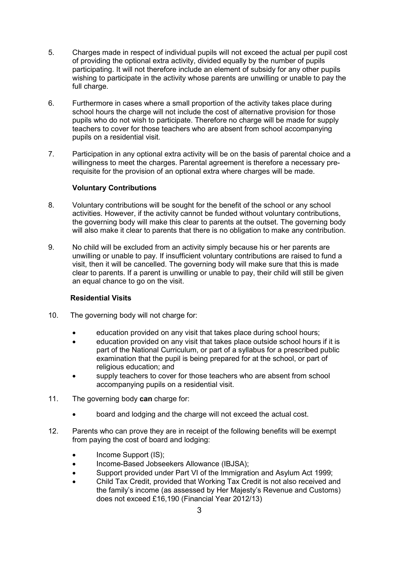- 5. Charges made in respect of individual pupils will not exceed the actual per pupil cost of providing the optional extra activity, divided equally by the number of pupils participating. It will not therefore include an element of subsidy for any other pupils wishing to participate in the activity whose parents are unwilling or unable to pay the full charge.
- 6. Furthermore in cases where a small proportion of the activity takes place during school hours the charge will not include the cost of alternative provision for those pupils who do not wish to participate. Therefore no charge will be made for supply teachers to cover for those teachers who are absent from school accompanying pupils on a residential visit.
- 7. Participation in any optional extra activity will be on the basis of parental choice and a willingness to meet the charges. Parental agreement is therefore a necessary prerequisite for the provision of an optional extra where charges will be made.

#### Voluntary Contributions

- 8. Voluntary contributions will be sought for the benefit of the school or any school activities. However, if the activity cannot be funded without voluntary contributions, the governing body will make this clear to parents at the outset. The governing body will also make it clear to parents that there is no obligation to make any contribution.
- 9. No child will be excluded from an activity simply because his or her parents are unwilling or unable to pay. If insufficient voluntary contributions are raised to fund a visit, then it will be cancelled. The governing body will make sure that this is made clear to parents. If a parent is unwilling or unable to pay, their child will still be given an equal chance to go on the visit.

#### Residential Visits

- 10. The governing body will not charge for:
	- education provided on any visit that takes place during school hours;
	- education provided on any visit that takes place outside school hours if it is part of the National Curriculum, or part of a syllabus for a prescribed public examination that the pupil is being prepared for at the school, or part of religious education; and
	- supply teachers to cover for those teachers who are absent from school accompanying pupils on a residential visit.
- 11. The governing body can charge for:
	- board and lodging and the charge will not exceed the actual cost.
- 12. Parents who can prove they are in receipt of the following benefits will be exempt from paying the cost of board and lodging:
	- Income Support (IS);
	- Income-Based Jobseekers Allowance (IBJSA);
	- Support provided under Part VI of the Immigration and Asylum Act 1999;
	- Child Tax Credit, provided that Working Tax Credit is not also received and the family's income (as assessed by Her Majesty's Revenue and Customs) does not exceed £16,190 (Financial Year 2012/13)